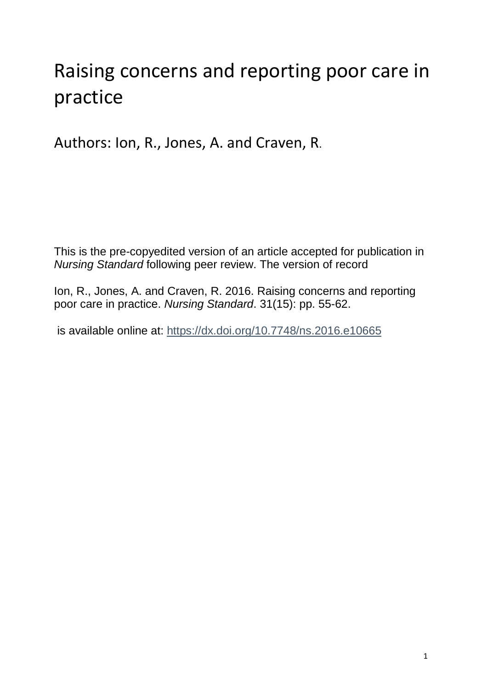# Raising concerns and reporting poor care in practice

Authors: Ion, R., Jones, A. and Craven, R.

This is the pre-copyedited version of an article accepted for publication in *Nursing Standard* following peer review. The version of record

Ion, R., Jones, A. and Craven, R. 2016. Raising concerns and reporting poor care in practice. *Nursing Standard*. 31(15): pp. 55-62.

is available online at:<https://dx.doi.org/10.7748/ns.2016.e10665>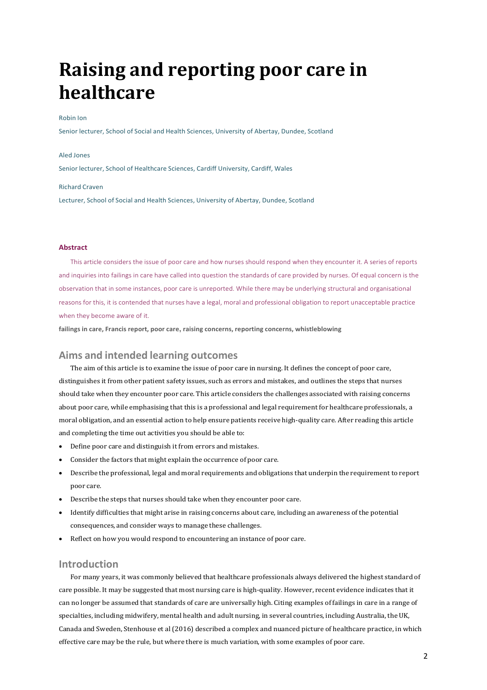## **Raising and reporting poor care in healthcare**

#### Robin Ion

Senior lecturer, School of Social and Health Sciences, University of Abertay, Dundee, Scotland

#### Aled Jones

Senior lecturer, School of Healthcare Sciences, Cardiff University, Cardiff, Wales

#### Richard Craven

Lecturer, School of Social and Health Sciences, University of Abertay, Dundee, Scotland

#### **Abstract**

This article considers the issue of poor care and how nurses should respond when they encounter it. A series of reports and inquiries into failings in care have called into question the standards of care provided by nurses. Of equal concern is the observation that in some instances, poor care is unreported. While there may be underlying structural and organisational reasons for this, it is contended that nurses have a legal, moral and professional obligation to report unacceptable practice when they become aware of it.

**failings in care, Francis report, poor care, raising concerns, reporting concerns, whistleblowing**

## **Aims and intended learning outcomes**

The aim of this article is to examine the issue of poor care in nursing. It defines the concept of poor care, distinguishes it from other patient safety issues, such as errors and mistakes, and outlines the steps that nurses should take when they encounter poor care. This article considers the challenges associated with raising concerns about poor care, while emphasising that this is a professional and legal requirement for healthcare professionals, a moral obligation, and an essential action to help ensure patients receive high-quality care. After reading this article and completing the time out activities you should be able to:

- Define poor care and distinguish it from errors and mistakes.
- Consider the factors that might explain the occurrence of poor care.
- Describe the professional, legal and moral requirements and obligations that underpin the requirement to report poor care.
- Describe the steps that nurses should take when they encounter poor care.
- Identify difficulties that might arise in raising concerns about care, including an awareness of the potential consequences, and consider ways to manage these challenges.
- Reflect on how you would respond to encountering an instance of poor care.

## **Introduction**

For many years, it was commonly believed that healthcare professionals always delivered the highest standard of care possible. It may be suggested that most nursing care is high-quality. However, recent evidence indicates that it can no longer be assumed that standards of care are universally high. Citing examples of failings in care in a range of specialties, including midwifery, mental health and adult nursing, in several countries, including Australia, the UK, Canada and Sweden, Stenhouse et al(2016) described a complex and nuanced picture of healthcare practice, in which effective care may be the rule, but where there is much variation, with some examples of poor care.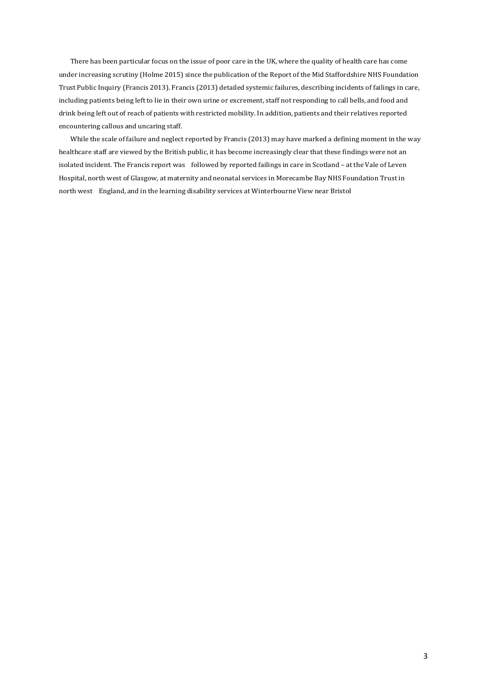There has been particular focus on the issue of poor care in the UK, where the quality of health care has come under increasing scrutiny (Holme 2015) since the publication of the Report of the Mid Staffordshire NHS Foundation Trust Public Inquiry (Francis 2013). Francis (2013) detailed systemic failures, describing incidents of failings in care, including patients being left to lie in their own urine or excrement, staff not responding to call bells, and food and drink being left out of reach of patients with restricted mobility. In addition, patients and their relatives reported encountering callous and uncaring staff.

While the scale of failure and neglect reported by Francis (2013) may have marked a defining moment in the way healthcare staff are viewed by the British public, it has become increasingly clear that these findings were not an isolated incident. The Francis report was followed by reported failings in care in Scotland – at the Vale of Leven Hospital, north west of Glasgow, at maternity and neonatal services in Morecambe Bay NHS Foundation Trust in north west England, and in the learning disability services at Winterbourne View near Bristol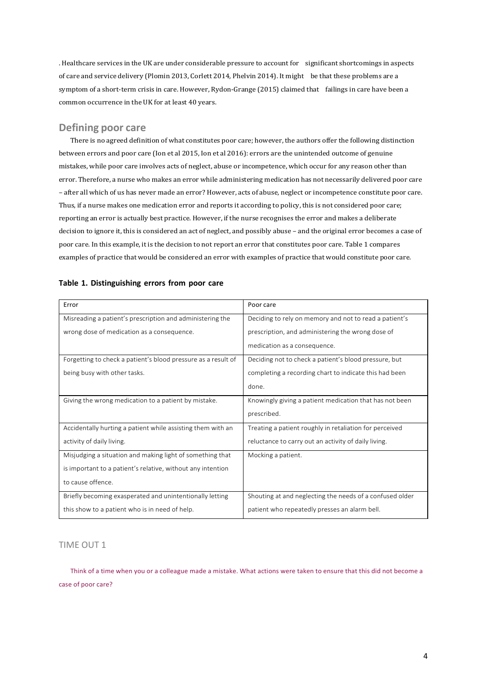. Healthcare services in the UK are under considerable pressure to account for significant shortcomings in aspects of care and service delivery (Plomin 2013, Corlett 2014, Phelvin 2014). It might be that these problems are a symptom of a short-term crisis in care. However, Rydon-Grange (2015) claimed that failings in care have been a common occurrence in the UK for at least 40 years.

## **Defining poor care**

There is no agreed definition of what constitutes poor care; however, the authors offer the following distinction between errors and poor care (Ion et al 2015, Ion et al 2016): errors are the unintended outcome of genuine mistakes, while poor care involves acts of neglect, abuse or incompetence, which occur for any reason other than error. Therefore, a nurse who makes an error while administering medication has not necessarily delivered poor care – after all which of us has never made an error? However, acts of abuse, neglect or incompetence constitute poor care. Thus, if a nurse makes one medication error and reports it according to policy, this is not considered poor care; reporting an error is actually best practice. However, if the nurse recognises the error and makes a deliberate decision to ignore it, this is considered an act of neglect, and possibly abuse – and the original error becomes a case of poor care. In this example, it is the decision to not report an error that constitutes poor care. Table 1 compares examples of practice that would be considered an error with examples of practice that would constitute poor care.

| Error                                                         | Poor care                                                |
|---------------------------------------------------------------|----------------------------------------------------------|
| Misreading a patient's prescription and administering the     | Deciding to rely on memory and not to read a patient's   |
| wrong dose of medication as a consequence.                    | prescription, and administering the wrong dose of        |
|                                                               | medication as a consequence.                             |
| Forgetting to check a patient's blood pressure as a result of | Deciding not to check a patient's blood pressure, but    |
| being busy with other tasks.                                  | completing a recording chart to indicate this had been   |
|                                                               | done.                                                    |
| Giving the wrong medication to a patient by mistake.          | Knowingly giving a patient medication that has not been  |
|                                                               | prescribed.                                              |
| Accidentally hurting a patient while assisting them with an   | Treating a patient roughly in retaliation for perceived  |
| activity of daily living.                                     | reluctance to carry out an activity of daily living.     |
| Misjudging a situation and making light of something that     | Mocking a patient.                                       |
| is important to a patient's relative, without any intention   |                                                          |
| to cause offence.                                             |                                                          |
| Briefly becoming exasperated and unintentionally letting      | Shouting at and neglecting the needs of a confused older |
| this show to a patient who is in need of help.                | patient who repeatedly presses an alarm bell.            |

#### **Table 1. Distinguishing errors from poor care**

#### TIME OUT 1

Think of a time when you or a colleague made a mistake. What actions were taken to ensure that this did not become a case of poor care?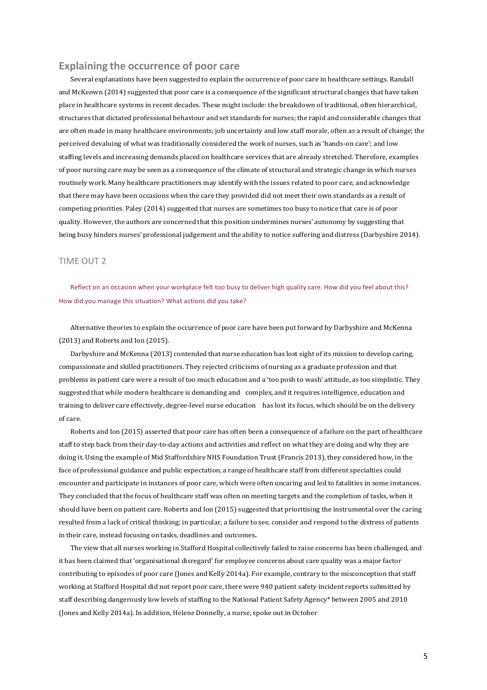## **Explaining the occurrence of poor care**

Several explanations have been suggested to explain the occurrence of poor care in healthcare settings. Randall and McKeown (2014) suggested that poor care is a consequence of the significant structural changes that have taken place in healthcare systems in recent decades. These might include: the breakdown of traditional, often hierarchical, structures that dictated professional behaviour and set standards for nurses; the rapid and considerable changes that are often made in many healthcare environments; job uncertainty and low staff morale, often as a result of change; the perceived devaluing of what was traditionally considered the work of nurses, such as 'hands-on care'; and low staffing levels and increasing demands placed on healthcare services that are already stretched. Therefore, examples of poor nursing care may be seen as a consequence of the climate of structural and strategic change in which nurses routinely work. Many healthcare practitioners may identify with the issues related to poor care, and acknowledge that there may have been occasions when the care they provided did not meet their own standards as a result of competing priorities. Paley (2014) suggested that nurses are sometimes too busy to notice that care is of poor quality. However, the authors are concerned that this position undermines nurses' autonomy by suggesting that being busy hinders nurses' professional judgement and the ability to notice suffering and distress (Darbyshire 2014).

#### TIME OUT 2

Reflect on an occasion when your workplace felt too busy to deliver high quality care. How did you feel about this? How did you manage this situation? What actions did you take?

Alternative theories to explain the occurrence of poor care have been put forward by Darbyshire and McKenna (2013) and Roberts and Ion (2015).

Darbyshire and McKenna (2013) contended that nurse education has lost sight of its mission to develop caring, compassionate and skilled practitioners. They rejected criticisms of nursing as a graduate profession and that problems in patient care were a result of too much education and a 'too posh to wash' attitude, as too simplistic. They suggested that while modern healthcare is demanding and complex, and it requires intelligence, education and training to deliver care effectively, degree-level nurse education has lost its focus, which should be on the delivery of care.

Roberts and Ion (2015) asserted that poor care has often been a consequence of a failure on the part of healthcare staff to step back from their day-to-day actions and activities and reflect on what they are doing and why they are doing it. Using the example of Mid Staffordshire NHS Foundation Trust(Francis 2013), they considered how, in the face of professional guidance and public expectation, a range of healthcare staff from different specialties could encounter and participate in instances of poor care, which were often uncaring and led to fatalities in some instances. They concluded that the focus of healthcare staff was often on meeting targets and the completion of tasks, when it should have been on patient care. Roberts and Ion (2015) suggested that prioritising the instrumental over the caring resulted from a lack of critical thinking; in particular, a failure to see, consider and respond to the distress of patients in their care, instead focusing on tasks, deadlines and outcomes**.**

The view that all nurses working in Stafford Hospital collectively failed to raise concerns has been challenged, and it has been claimed that 'organisational disregard' for employee concerns about care quality was a major factor contributing to episodes of poor care (Jones and Kelly 2014a). For example, contrary to the misconception that staff working at Stafford Hospital did not report poor care, there were 940 patient safety incident reports submitted by staff describing dangerously low levels of staffing to the National Patient Safety Agency\* between 2005 and 2010 (Jones and Kelly 2014a). In addition, Helene Donnelly, a nurse, spoke out in October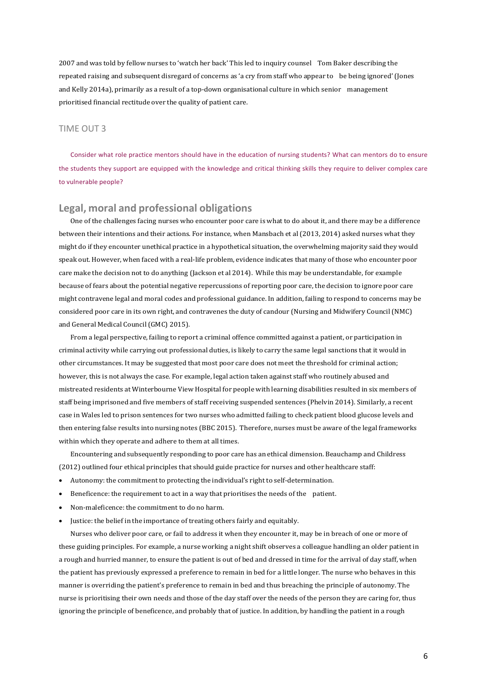2007 and was told by fellow nurses to 'watch her back' This led to inquiry counsel Tom Baker describing the repeated raising and subsequent disregard of concerns as 'a cry from staff who appear to be being ignored' (Jones and Kelly 2014a), primarily as a result of a top-down organisational culture in which senior management prioritised financial rectitude over the quality of patient care.

#### TIME OUT 3

Consider what role practice mentors should have in the education of nursing students? What can mentors do to ensure the students they support are equipped with the knowledge and critical thinking skills they require to deliver complex care to vulnerable people?

## **Legal, moral and professional obligations**

One of the challenges facing nurses who encounter poor care is what to do about it, and there may be a difference between their intentions and their actions. For instance, when Mansbach et al (2013, 2014) asked nurses what they might do if they encounter unethical practice in a hypothetical situation, the overwhelming majority said they would speak out. However, when faced with a real-life problem, evidence indicates that many of those who encounter poor care make the decision not to do anything (Jackson et al 2014). While this may be understandable, for example because of fears about the potential negative repercussions of reporting poor care, the decision to ignore poor care might contravene legal and moral codes and professional guidance. In addition, failing to respond to concerns may be considered poor care in its own right, and contravenes the duty of candour (Nursing and Midwifery Council(NMC) and General Medical Council(GMC) 2015).

From a legal perspective, failing to report a criminal offence committed against a patient, or participation in criminal activity while carrying out professional duties, is likely to carry the same legal sanctions that it would in other circumstances. It may be suggested that most poor care does not meet the threshold for criminal action; however, this is not always the case. For example, legal action taken against staff who routinely abused and mistreated residents at Winterbourne View Hospital for people with learning disabilities resulted in six members of staff being imprisoned and five members of staff receiving suspended sentences (Phelvin 2014). Similarly, a recent case in Wales led to prison sentences for two nurses who admitted failing to check patient blood glucose levels and then entering false results into nursing notes (BBC 2015). Therefore, nurses must be aware of the legal frameworks within which they operate and adhere to them at all times.

Encountering and subsequently responding to poor care has an ethical dimension. Beauchamp and Childress (2012) outlined four ethical principles that should guide practice for nurses and other healthcare staff:

- Autonomy: the commitment to protecting the individual's right to self-determination.
- Beneficence: the requirement to act in a way that prioritises the needs of the patient.
- Non-maleficence: the commitment to do no harm.
- Justice: the belief in the importance of treating others fairly and equitably.

Nurses who deliver poor care, or fail to address it when they encounter it, may be in breach of one or more of these guiding principles. For example, a nurse working a night shift observes a colleague handling an older patient in a rough and hurried manner, to ensure the patient is out of bed and dressed in time for the arrival of day staff, when the patient has previously expressed a preference to remain in bed for a little longer. The nurse who behaves in this manner is overriding the patient's preference to remain in bed and thus breaching the principle of autonomy. The nurse is prioritising their own needs and those of the day staff over the needs of the person they are caring for, thus ignoring the principle of beneficence, and probably that of justice. In addition, by handling the patient in a rough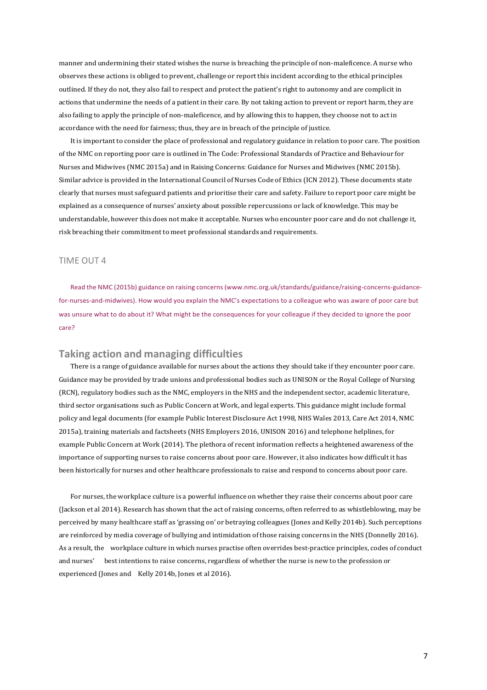manner and undermining their stated wishes the nurse is breaching the principle of non-maleficence. A nurse who observes these actions is obliged to prevent, challenge or report this incident according to the ethical principles outlined. If they do not, they also fail to respect and protect the patient's right to autonomy and are complicit in actions that undermine the needs of a patient in their care. By not taking action to prevent or report harm, they are also failing to apply the principle of non-maleficence, and by allowing this to happen, they choose not to act in accordance with the need for fairness; thus, they are in breach of the principle of justice.

It is important to consider the place of professional and regulatory guidance in relation to poor care. The position of the NMC on reporting poor care is outlined in The Code: Professional Standards of Practice and Behaviour for Nurses and Midwives (NMC 2015a) and in Raising Concerns: Guidance for Nurses and Midwives (NMC 2015b). Similar advice is provided in the International Council of Nurses Code of Ethics (ICN 2012). These documents state clearly that nurses must safeguard patients and prioritise their care and safety. Failure to report poor care might be explained as a consequence of nurses' anxiety about possible repercussions or lack of knowledge. This may be understandable, however this does not make it acceptable. Nurses who encounter poor care and do not challenge it, risk breaching their commitment to meet professional standards and requirements.

#### TIME OUT 4

Read the NMC (2015b) guidance on raising concerns [\(www.nmc.org.uk/standards/guidance/raising-concerns-guidance](http://www.nmc.org.uk/standards/guidance/raising-concerns-guidance-)for-nurses-and-midwives). How would you explain the NMC's expectations to a colleague who was aware of poor care but was unsure what to do about it? What might be the consequences for your colleague if they decided to ignore the poor care?

## **Taking action and managing difficulties**

There is a range of guidance available for nurses about the actions they should take if they encounter poor care. Guidance may be provided by trade unions and professional bodies such as UNISON or the Royal College of Nursing (RCN), regulatory bodies such as the NMC, employers in the NHS and the independent sector, academic literature, third sector organisations such as Public Concern at Work, and legal experts. This guidance might include formal policy and legal documents (for example Public Interest Disclosure Act 1998, NHS Wales 2013, Care Act 2014, NMC 2015a), training materials and factsheets (NHS Employers 2016, UNISON 2016) and telephone helplines, for example Public Concern at Work (2014). The plethora of recent information reflects a heightened awareness of the importance of supporting nurses to raise concerns about poor care. However, it also indicates how difficult it has been historically for nurses and other healthcare professionals to raise and respond to concerns about poor care.

For nurses, the workplace culture is a powerful influence on whether they raise their concerns about poor care (Jackson et al 2014). Research has shown that the act of raising concerns, often referred to as whistleblowing, may be perceived by many healthcare staff as 'grassing on' or betraying colleagues (Jones and Kelly 2014b). Such perceptions are reinforced by media coverage of bullying and intimidation of those raising concerns in the NHS (Donnelly 2016). As a result, the workplace culture in which nurses practise often overrides best-practice principles, codes of conduct and nurses' best intentions to raise concerns, regardless of whether the nurse is new to the profession or experienced (Jones and Kelly 2014b, Jones et al 2016).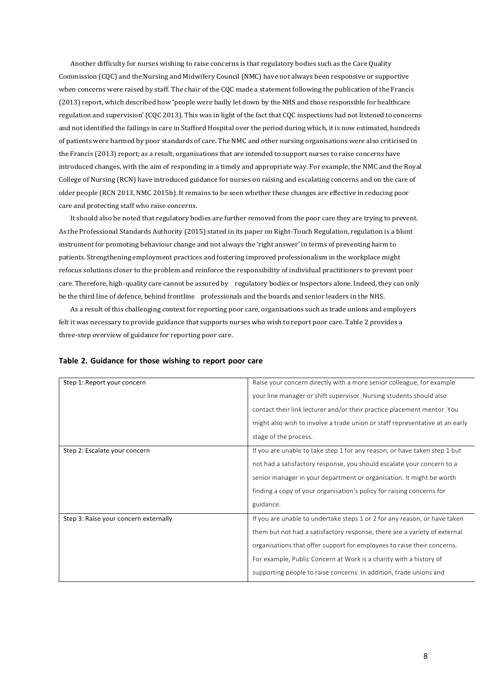Another difficulty for nurses wishing to raise concerns is that regulatory bodies such as the Care Quality Commission (CQC) and the Nursing and Midwifery Council(NMC) have not always been responsive or supportive when concerns were raised by staff. The chair of the CQC made a statement following the publication of the Francis (2013) report, which described how 'people were badly let down by the NHS and those responsible for healthcare regulation and supervision' (CQC 2013). This was in light of the fact that CQC inspections had not listened to concerns and not identified the failings in care in Stafford Hospital over the period during which, it is now estimated, hundreds of patients were harmed by poor standards of care. The NMC and other nursing organisations were also criticised in the Francis (2013) report; as a result, organisations that are intended to support nurses to raise concerns have introduced changes, with the aim of responding in a timely and appropriate way. For example, the NMC and the Royal College of Nursing (RCN) have introduced guidance for nurses on raising and escalating concerns and on the care of older people (RCN 2013, NMC 2015b). It remains to be seen whether these changes are effective in reducing poor care and protecting staff who raise concerns.

It should also be noted that regulatory bodies are further removed from the poor care they are trying to prevent. As the Professional Standards Authority (2015) stated in its paper on Right-Touch Regulation, regulation is a blunt instrument for promoting behaviour change and not always the 'right answer' in terms of preventing harm to patients. Strengthening employment practices and fostering improved professionalism in the workplace might refocus solutions closer to the problem and reinforce the responsibility of individual practitioners to prevent poor care. Therefore, high-quality care cannot be assured by regulatory bodies or inspectors alone. Indeed, they can only be the third line of defence, behind frontline professionals and the boards and senior leaders in the NHS**.**

As a result of this challenging context for reporting poor care, organisations such as trade unions and employers felt it was necessary to provide guidance that supports nurses who wish to report poor care. Table 2 provides a three-step overview of guidance for reporting poor care.

| Step 1: Report your concern           | Raise your concern directly with a more senior colleague, for example        |
|---------------------------------------|------------------------------------------------------------------------------|
|                                       | your line manager or shift supervisor. Nursing students should also          |
|                                       | contact their link lecturer and/or their practice placement mentor. You      |
|                                       | might also wish to involve a trade union or staff representative at an early |
|                                       | stage of the process.                                                        |
| Step 2: Escalate your concern         | If you are unable to take step 1 for any reason, or have taken step 1 but    |
|                                       | not had a satisfactory response, you should escalate your concern to a       |
|                                       | senior manager in your department or organisation. It might be worth         |
|                                       | finding a copy of your organisation's policy for raising concerns for        |
|                                       | guidance.                                                                    |
| Step 3: Raise your concern externally | If you are unable to undertake steps 1 or 2 for any reason, or have taken    |
|                                       | them but not had a satisfactory response, there are a variety of external    |
|                                       | organisations that offer support for employees to raise their concerns.      |
|                                       | For example, Public Concern at Work is a charity with a history of           |
|                                       | supporting people to raise concerns. In addition, trade unions and           |

#### **Table 2. Guidance for those wishing to report poor care**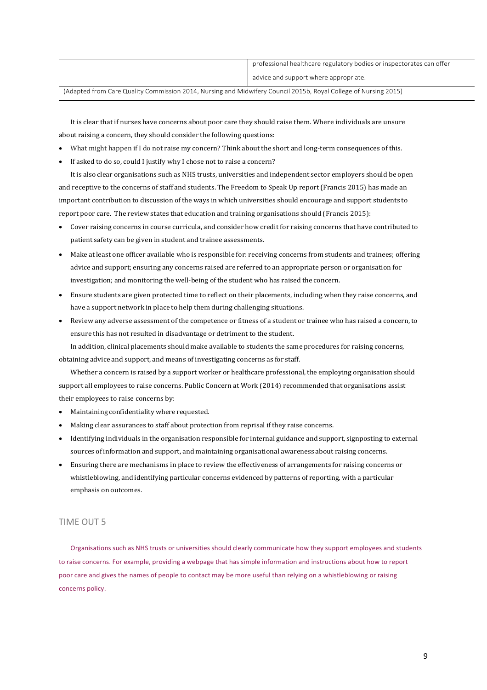|                                                                                                                 | professional healthcare regulatory bodies or inspectorates can offer |
|-----------------------------------------------------------------------------------------------------------------|----------------------------------------------------------------------|
|                                                                                                                 | advice and support where appropriate.                                |
| (Adapted from Care Quality Commission 2014, Nursing and Midwifery Council 2015b, Royal College of Nursing 2015) |                                                                      |

It is clear that if nurses have concerns about poor care they should raise them. Where individuals are unsure about raising a concern, they should consider the following questions:

- What might happen if I do not raise my concern? Think about the short and long-term consequences of this.
- If asked to do so, could I justify why I chose not to raise a concern?

It is also clear organisations such as NHS trusts, universities and independent sector employers should be open and receptive to the concerns of staff and students. The Freedom to Speak Up report (Francis 2015) has made an important contribution to discussion of the ways in which universities should encourage and support students to report poor care. The review states that education and training organisations should (Francis 2015):

- Cover raising concerns in course curricula, and consider how credit for raising concerns that have contributed to patient safety can be given in student and trainee assessments.
- Make at least one officer available who is responsible for: receiving concerns from students and trainees; offering advice and support; ensuring any concerns raised are referred to an appropriate person or organisation for investigation; and monitoring the well-being of the student who has raised the concern.
- Ensure students are given protected time to reflect on their placements, including when they raise concerns, and have a support network in place to help them during challenging situations.
- Review any adverse assessment of the competence or fitness of a student or trainee who has raised a concern, to ensure this has not resulted in disadvantage or detriment to the student.

In addition, clinical placements should make available to students the same procedures for raising concerns, obtaining advice and support, and means of investigating concerns as for staff.

Whether a concern is raised by a support worker or healthcare professional, the employing organisation should support all employees to raise concerns. Public Concern at Work (2014) recommended that organisations assist their employees to raise concerns by:

- Maintaining confidentiality where requested.
- Making clear assurances to staff about protection from reprisal if they raise concerns.
- Identifying individuals in the organisation responsible for internal guidance and support, signposting to external sources of information and support, and maintaining organisational awareness about raising concerns.
- Ensuring there are mechanisms in place to review the effectiveness of arrangements for raising concerns or whistleblowing, and identifying particular concerns evidenced by patterns of reporting, with a particular emphasis on outcomes.

#### TIME OUT 5

Organisations such as NHS trusts or universities should clearly communicate how they support employees and students to raise concerns. For example, providing a webpage that has simple information and instructions about how to report poor care and gives the names of people to contact may be more useful than relying on a whistleblowing or raising concerns policy.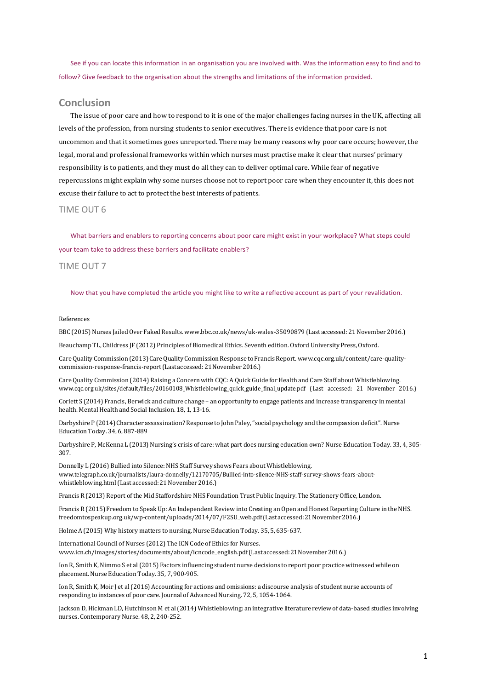See if you can locate this information in an organisation you are involved with. Was the information easy to find and to follow? Give feedback to the organisation about the strengths and limitations of the information provided.

## **Conclusion**

The issue of poor care and how to respond to it is one of the major challenges facing nurses in the UK, affecting all levels of the profession, from nursing students to senior executives. There is evidence that poor care is not uncommon and that it sometimes goes unreported. There may be many reasons why poor care occurs; however, the legal, moral and professional frameworks within which nurses must practise make it clear that nurses' primary responsibility is to patients, and they must do all they can to deliver optimal care. While fear of negative repercussions might explain why some nurses choose not to report poor care when they encounter it, this does not excuse their failure to act to protect the best interests of patients.

#### TIME OUT 6

What barriers and enablers to reporting concerns about poor care might exist in your workplace? What steps could your team take to address these barriers and facilitate enablers?

### TIME OUT 7

Now that you have completed the article you might like to write a reflective account as part of your revalidation.

#### References

BBC (2015) Nurses Jailed Over Faked Results. [www.bbc.co.uk/news/uk-wales-35090879](http://www.bbc.co.uk/news/uk-wales-35090879) (Last accessed: 21 November 2016.)

Beauchamp TL, Childress JF (2012) Principles of Biomedical Ethics. Seventh edition. Oxford University Press,Oxford.

CareQualityCommission(2013) CareQuality CommissionResponse to FrancisReport. [www.cqc.org.uk/content/care-quality](http://www.cqc.org.uk/content/care-quality-)commission-response-francis-report(Lastaccessed:21November2016.)

Care Quality Commission (2014) Raising a Concern with CQC: A Quick Guide for Health and Care Staff about Whistleblowing. [www.cqc.org.uk/sites/default/files/20160108\\_Whistleblowing\\_quick\\_guide\\_final\\_update.pdf](http://www.cqc.org.uk/sites/default/files/20160108_Whistleblowing_quick_guide_final_update.pdf) (Last accessed: 21 November 2016.)

Corlett S (2014) Francis, Berwick and culture change – an opportunity to engage patients and increase transparency in mental health. Mental Health and Social Inclusion. 18, 1, 13-16.

Darbyshire P (2014) Character assassination? Response to John Paley,"social psychology and the compassion deficit". Nurse EducationToday. 34, 6, 887-889

Darbyshire P, McKenna L (2013) Nursing's crisis of care: what part does nursing education own? Nurse Education Today. 33, 4, 305- 307.

Donnelly L (2016) Bullied into Silence: NHS Staff Survey shows Fears about Whistleblowing. [www.telegraph.co.uk/journalists/laura-donnelly/12170705/Bullied-into-silence-NHS-staff-survey-shows-fears-about](http://www.telegraph.co.uk/journalists/laura-donnelly/12170705/Bullied-into-silence-NHS-staff-survey-shows-fears-about-)whistleblowing.html (Last accessed: 21 November 2016.)

FrancisR (2013) Report ofthe Mid Staffordshire NHS Foundation Trust Public Inquiry. The Stationery Office, London.

Francis R (2015) Freedom to Speak Up: An Independent Review into Creating an Open and Honest Reporting Culture in theNHS. freedomtospeakup.org.uk/wp-content/uploads/2014/07/F2SU\_web.pdf(Lastaccessed:21November2016.)

Holme A (2015) Why history matters to nursing. Nurse Education Today. 35, 5, 635-637.

International Council of Nurses (2012) The ICN Code of Ethics for Nurses. [www.icn.ch/images/stories/documents/about/icncode\\_english.pdf\(](http://www.icn.ch/images/stories/documents/about/icncode_english.pdf)Lastaccessed:21November2016.)

Ion R, Smith K, Nimmo S et al (2015) Factors influencing student nurse decisions to report poor practice witnessed while on placement.Nurse Education Today. 35, 7, 900-905.

Ion R, Smith K, Moir J et al (2016) Accounting for actions and omissions: a discourse analysis of student nurse accounts of responding to instances of poor care. Journal of Advanced Nursing. 72, 5, 1054-1064.

Jackson D, Hickman LD, Hutchinson M et al (2014) Whistleblowing: an integrative literature review of data-based studies involving nurses. Contemporary Nurse. 48, 2, 240-252.